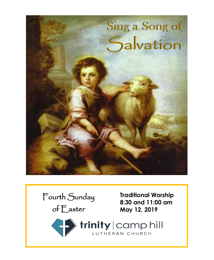



**Traditional Worship 8:30 and 11:00 am May 12, 2019**

trinity | camp hill LUTHERAN CHURCH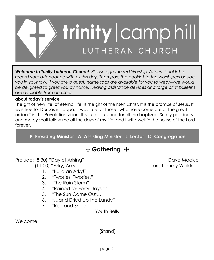

*Welcome to Trinity Lutheran Church! Please sign the red Worship Witness booklet to record your attendance with us this day. Then pass the booklet to the worshipers beside you in your row. If you are a guest, name tags are available for you to wear---we would be delighted to greet you by name. Hearing assistance devices and large print bulletins are available from an usher.*

#### **about today's service**

The gift of new life, of eternal life, is the gift of the risen Christ. It is the promise of Jesus. It was true for Dorcas in Joppa. It was true for those "who have come out of the great ordeal" in the Revelation vision. It is true for us and for all the baptized: Surely goodness and mercy shall follow me all the days of my life, and I will dwell in the house of the Lord forever.

**P: Presiding Minister A: Assisting Minister L: Lector C: Congregation**

# + **Gathering** +

Prelude: (8:30) "Day of Arising" Dave Mackie

- 1. "Build an Arky!"
- 2. "Twosies, Twosies!"
- 3. "The Rain Storm"
- 4. "Rained for Forty Daysies"
- 5. "The Sun Came Out…."
- 6. "…and Dried Up the Landy"
- 7. "Rise and Shine"

Youth Bells

Welcome

[Stand]

(11:00) "Arky, Arky" arr. Tammy Waldrop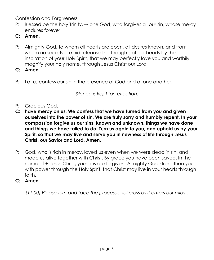Confession and Forgiveness

- P: Blessed be the holy Trinity,  $\pm$  one God, who forgives all our sin, whose mercy endures forever.
- **C: Amen.**
- P: Almighty God, to whom all hearts are open, all desires known, and from whom no secrets are hid: cleanse the thoughts of our hearts by the inspiration of your Holy Spirit, that we may perfectly love you and worthily magnify your holy name, through Jesus Christ our Lord.
- **C: Amen.**
- P: Let us confess our sin in the presence of God and of one another.

*Silence is kept for reflection.*

- P: Gracious God,
- **C: have mercy on us. We confess that we have turned from you and given ourselves into the power of sin. We are truly sorry and humbly repent. In your compassion forgive us our sins, known and unknown, things we have done and things we have failed to do. Turn us again to you, and uphold us by your Spirit, so that we may live and serve you in newness of life through Jesus Christ, our Savior and Lord. Amen.**
- P: God, who is rich in mercy, loved us even when we were dead in sin, and made us alive together with Christ. By grace you have been saved. In the name of + Jesus Christ, your sins are forgiven. Almighty God strengthen you with power through the Holy Spirit, that Christ may live in your hearts through faith.
- **C: Amen.**

*(11:00) Please turn and face the processional cross as it enters our midst.*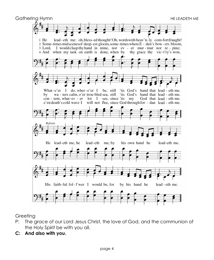

Greeting

- P: The grace of our Lord Jesus Christ, the love of God, and the communion of the Holy Spirit be with you all.
- **C: And also with you.**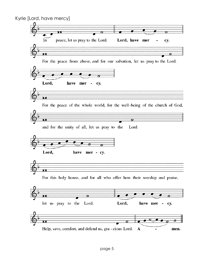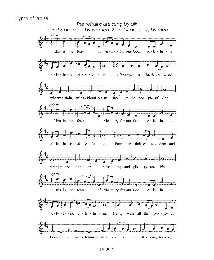#### Hymn of Praise

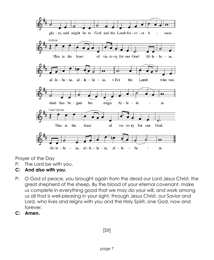

Prayer of the Day

- P: The Lord be with you.
- **C: And also with you.**
- P: O God of peace, you brought again from the dead our Lord Jesus Christ, the great shepherd of the sheep. By the blood of your eternal covenant, make us complete in everything good that we may do your will, and work among us all that is well-pleasing in your sight, through Jesus Christ, our Savior and Lord, who lives and reigns with you and the Holy Spirit, one God, now and forever.
- **C: Amen.**

[Sit]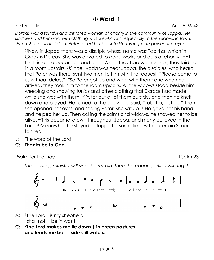# + **Word** +

#### First Reading **Acts 9:36-43**

*Dorcas was a faithful and devoted woman of charity in the community of Joppa. Her kindness and her work with clothing was well-known, especially to the widows in town. When she fell ill and died, Peter raised her back to life through the power of prayer.*

36Now in Joppa there was a disciple whose name was Tabitha, which in Greek is Dorcas. She was devoted to good works and acts of charity. <sup>37</sup>At that time she became ill and died. When they had washed her, they laid her in a room upstairs. <sup>38</sup>Since Lydda was near Joppa, the disciples, who heard that Peter was there, sent two men to him with the request, "Please come to us without delay." <sup>39</sup>So Peter got up and went with them; and when he arrived, they took him to the room upstairs. All the widows stood beside him, weeping and showing tunics and other clothing that Dorcas had made while she was with them. <sup>40</sup>Peter put all of them outside, and then he knelt down and prayed. He turned to the body and said, "Tabitha, get up." Then she opened her eyes, and seeing Peter, she sat up. <sup>41</sup>He gave her his hand and helped her up. Then calling the saints and widows, he showed her to be alive. <sup>42</sup>This became known throughout Joppa, and many believed in the Lord. <sup>43</sup>Meanwhile he stayed in Joppa for some time with a certain Simon, a tanner.

- L: The word of the Lord.
- **C: Thanks be to God.**

Psalm for the Day Psalm 23

*The assisting minister will sing the refrain, then the congregation will sing it.*



- A: <sup>1</sup>The Lord | is my shepherd; I shall not | be in want.
- **C: <sup>2</sup>The Lord makes me lie down | in green pastures and leads me be- | side still waters.**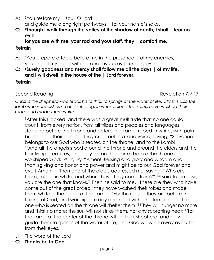- A: <sup>3</sup>You restore my | soul, O Lord, and guide me along right pathways | for your name's sake.
- **C: <sup>4</sup>Though I walk through the valley of the shadow of death, I shall | fear no evil;**

**for you are with me; your rod and your staff, they | comfort me.**

## **Refrain**

- A: <sup>5</sup>You prepare a table before me in the presence | of my enemies; you anoint my head with oil, and my cup is | running over.
- **C: <sup>6</sup>Surely goodness and mercy shall follow me all the days | of my life, and I will dwell in the house of the | Lord forever.**

## **Refrain**

Second Reading Revelation 7:9-17

*Christ is the shepherd who leads his faithful to springs of the water of life. Christ is also the lamb who vanquishes sin and suffering, in whose blood the saints have washed their robes and made them white.*

<sup>9</sup>After this I looked, and there was a great multitude that no one could count, from every nation, from all tribes and peoples and languages, standing before the throne and before the Lamb, robed in white, with palm branches in their hands. <sup>10</sup>They cried out in a loud voice, saying, "Salvation belongs to our God who is seated on the throne, and to the Lamb!" <sup>11</sup>And all the angels stood around the throne and around the elders and the four living creatures, and they fell on their faces before the throne and worshiped God, <sup>12</sup>singing, "Amen! Blessing and glory and wisdom and thanksgiving and honor and power and might be to our God forever and ever! Amen." 13Then one of the elders addressed me, saying, "Who are these, robed in white, and where have they come from?" 14I said to him, "Sir, you are the one that knows." Then he said to me, "These are they who have come out of the great ordeal; they have washed their robes and made them white in the blood of the Lamb. <sup>15</sup>For this reason they are before the throne of God, and worship him day and night within his temple, and the one who is seated on the throne will shelter them. <sup>16</sup>They will hunger no more, and thirst no more; the sun will not strike them, nor any scorching heat; <sup>17</sup>for the Lamb at the center of the throne will be their shepherd, and he will guide them to springs of the water of life, and God will wipe away every tear from their eyes."

- L: The word of the Lord.
- **C: Thanks be to God.**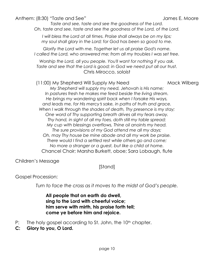Anthem: (8:30) "Taste and See" and the settlement of the settlement of the settlement of the settlement of the settlement of the settlement of the settlement of the settlement of the settlement of the settlement of the set

*Taste and see, taste and see the goodness of the Lord. Oh, taste and see, taste and see the goodness of the Lord, of the Lord.*

*I will bless the Lord at all times. Praise shall always be on my lips; my soul shall glory in the Lord; for God has been so good to me.* 

*Glorify the Lord with me. Together let us all praise God's name. I* called the Lord, who answered me; from all my troubles I was set free.

*Worship the Lord, all you people. You'll want for nothing if you ask. Taste and see that the Lord is good; in God we need put all our trust.*  Chris Mirocco, soloist

#### (11:00) My Shepherd Will Supply My Need Mack Wilberg

*My Shepherd will supply my need, Jehovah is His name; In pastures fresh he makes me feed beside the living stream. He brings my wandering spirit back when I forsake His ways, and leads me, for His mercy*=*s sake, in paths of truth and grace. When I walk through the shades of death, Thy presence is my stay; One word of Thy supporting breath drives all my fears away. Thy hand, in sight of all my foes, doth still my table spread; My cup with blessings overflows, Thine oil anoints my head. The sure provisions of my God attend me all my days; Oh, may Thy house be mine abode and all my work be praise. There would I find a settled rest while others go and come; No more a stranger or a guest, but like a child at home.* Chancel Choir; Marsha Burkett, oboe; Sara Lobaugh, flute

Children's Message

[Stand]

## Gospel Procession:

*Turn to face the cross as it moves to the midst of God's people.*

**All people that on earth do dwell, sing to the Lord with cheerful voice; him serve with mirth, his praise forth tell; come ye before him and rejoice.**

- P: The holy gospel according to St. John, the  $10<sup>th</sup>$  chapter.
- **C: Glory to you, O Lord.**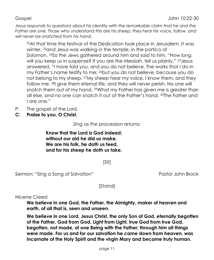*Jesus responds to questions about his identity with the remarkable claim that he and the Father are one. Those who understand this are his sheep; they hear his voice, follow, and will never be snatched from his hand.*

<sup>22</sup>At that time the festival of the Dedication took place in Jerusalem. It was winter, <sup>23</sup>and Jesus was walking in the temple, in the portico of Solomon. <sup>24</sup>So the Jews gathered around him and said to him, "How long will you keep us in suspense? If you are the Messiah, tell us plainly." <sup>25</sup>Jesus answered, "I have told you, and you do not believe. The works that I do in my Father's name testify to me; <sup>26</sup>but you do not believe, because you do not belong to my sheep. <sup>27</sup>My sheep hear my voice. I know them, and they follow me. <sup>28</sup>I give them eternal life, and they will never perish. No one will snatch them out of my hand. <sup>29</sup>What my Father has given me is greater than all else, and no one can snatch it out of the Father's hand. <sup>30</sup>The Father and I are one."

- P: The gospel of the Lord.
- **C: Praise to you, O Christ.**

*Sing as the procession returns:*

**Know that the Lord is God indeed; without our aid he did us make. We are his folk, he doth us feed, and for his sheep he doth us take.**

[Sit]

Sermon: "Sing a Song of Salvation" entity and the Pastor John Brock

[Stand]

#### Nicene Creed

**We believe in one God, the Father, the Almighty, maker of heaven and earth, of all that is, seen and unseen.** 

**We believe in one Lord, Jesus Christ, the only Son of God, eternally begotten of the Father, God from God, Light from Light, true God from true God, begotten, not made, of one Being with the Father; through him all things were made. For us and for our salvation he came down from heaven, was incarnate of the Holy Spirit and the virgin Mary and became truly human.**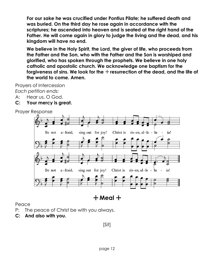**For our sake he was crucified under Pontius Pilate; he suffered death and was buried. On the third day he rose again in accordance with the scriptures; he ascended into heaven and is seated at the right hand of the Father. He will come again in glory to judge the living and the dead, and his kingdom will have no end.**

**We believe in the Holy Spirit, the Lord, the giver of life, who proceeds from the Father and the Son, who with the Father and the Son is worshiped and glorified, who has spoken through the prophets. We believe in one holy catholic and apostolic church. We acknowledge one baptism for the**  forgiveness of sins. We look for the  $+$  resurrection of the dead, and the life of **the world to come. Amen.**

Prayers of Intercession

*Each petition ends:*

- A: Hear us, O God.
- **C: Your mercy is great.**

Prayer Response



+ **Meal** +

Peace

- P: The peace of Christ be with you always.
- **C: And also with you.**

[Sit]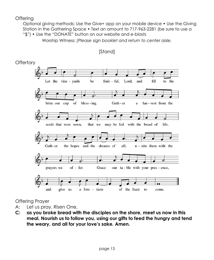**Offering** 

Optional giving methods: Use the Give+ app on your mobile device • Use the Giving Station in the Gathering Space • Text an amount to 717-963-2281 (be sure to use a "\$") • Use the "DONATE" button on our website and e-blasts

Worship Witness: *(Please sign booklet and return to center aisle.*



[Stand]

Offering Prayer

- A: Let us pray. Risen One,
- **C: as you broke bread with the disciples on the shore, meet us now in this meal. Nourish us to follow you, using our gifts to feed the hungry and tend the weary, and all for your love's sake. Amen.**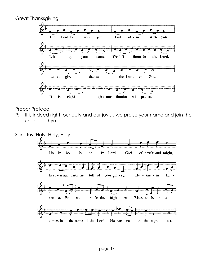Great Thanksgiving



Proper Preface

P: It is indeed right, our duty and our joy ... we praise your name and join their unending hymn:

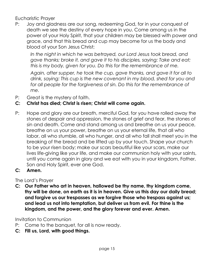Eucharistic Prayer

P: Joy and gladness are our song, redeeming God, for in your conquest of death we see the destiny of every hope in you. Come among us in the power of your Holy Spirit, that your children may be blessed with power and grace, and that this bread and cup may become for us the body and blood of your Son Jesus Christ;

*In the night in which he was betrayed, our Lord Jesus took bread, and gave thanks; broke it, and gave it to his disciples, saying: Take and eat; this is my body, given for you. Do this for the remembrance of me.*

*Again, after supper, he took the cup, gave thanks, and gave it for all to drink, saying: This cup is the new covenant in my blood, shed for you and for all people for the forgiveness of sin. Do this for the remembrance of me.* 

P: Great is the mystery of faith.

## **C: Christ has died; Christ is risen; Christ will come again.**

- P: Hope and glory are our breath, merciful God, for you have rolled away the stones of despair and oppression, the stones of grief and fear, the stones of sin and death. Come and stand among us and breathe on us your peace, breathe on us your power, breathe on us your eternal life, that all who labor, all who stumble, all who hunger, and all who fall shall meet you in the breaking of the bread and be lifted up by your touch. Shape your church to be your risen body; make our scars beautiful like your scars, make our lives life-giving like your life, and make our communion holy with your saints, until you come again in glory and we eat with you in your kingdom, Father, Son and Holy Spirit, ever one God.
- **C: Amen.**

## The Lord's Prayer

**C: Our Father who art in heaven, hallowed be thy name, thy kingdom come, thy will be done, on earth as it is in heaven. Give us this day our daily bread; and forgive us our trespasses as we forgive those who trespass against us; and lead us not into temptation, but deliver us from evil. For thine is the kingdom, and the power, and the glory forever and ever. Amen.**

Invitation to Communion

- P: Come to the banquet, for all is now ready.
- **C: Fill us, Lord, with good things.**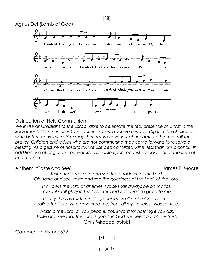

#### Distribution of Holy Communion

*We invite all Christians to the Lord's Table to celebrate the real presence of Christ in the*  Sacrament. Communion is by intinction. You will receive a wafer. Dip it in the chalice of *wine before consuming. You may then return to your seat or come to the altar rail for prayer. Children and adults who are not communing may come forward to receive a blessing. As a gesture of hospitality, we use dealcoholized wine (less than .5% alcohol). In addition, we offer gluten-free wafers, available upon request - please ask at the time of communion.* 

Anthem: "Taste and See" James E. Moore

*Taste and see, taste and see the goodness of the Lord. Oh, taste and see, taste and see the goodness of the Lord, of the Lord.*

*I will bless the Lord at all times. Praise shall always be on my lips; my soul shall glory in the Lord; for God has been so good to me.* 

*Glorify the Lord with me. Together let us all praise God's name. I* called the Lord, who answered me; from all my troubles I was set free.

*Worship the Lord, all you people. You'll want for nothing if you ask. Taste and see that the Lord is good; in God we need put all our trust.*  Chris Mirocco, soloist

Communion Hymn: 379

## [Stand]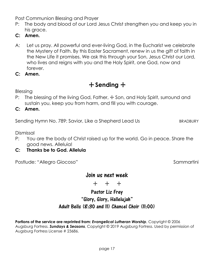Post Communion Blessing and Prayer

- P: The body and blood of our Lord Jesus Christ strengthen you and keep you in his arace.
- **C: Amen.**
- A: Let us pray. All powerful and ever-living God, in the Eucharist we celebrate the Mystery of Faith. By this Easter Sacrament, renew in us the gift of faith in the New Life it promises. We ask this through your Son, Jesus Christ our Lord, who lives and reigns with you and the Holy Spirit, one God, now and forever.
- **C: Amen.**

# + **Sending** +

Blessing

P: The blessing of the living God, Father,  $\pm$  Son, and Holy Spirit, surround and sustain you, keep you from harm, and fill you with courage.

**C: Amen.**

Sending Hymn No. 789: Savior, Like a Shepherd Lead Us BRADBURY

Dismissal

- P: You are the body of Christ raised up for the world. Go in peace. Share the good news. Alleluia!
- **C: Thanks be to God. Alleluia**

Postlude: "Allegro Giocoso" Sammartini

# Join us next week

+ + +

# Pastor Liz Frey "Glory, Glory, Hallelujah" Adult Bells (8:30 and 11) Chancel Choir (11:00)

**Portions of the service are reprinted from:** *Evangelical Lutheran Worship*, Copyright © 2006 Augsburg Fortress. *Sundays & Seasons*, Copyright © 2019 Augsburg Fortress. Used by permission of Augsburg Fortress License # 23686.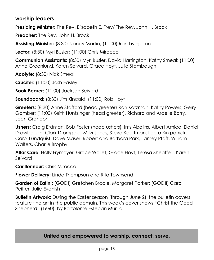## **worship leaders**

**Presiding Minister:** The Rev. Elizabeth E. Frey/ The Rev. John H. Brock

**Preacher:** The Rev. John H. Brock

**Assisting Minister:** (8:30) Nancy Martin; (11:00) Ron Livingston

**Lector:** (8:30) Myrl Busler; (11:00) Chris Mirocco

**Communion Assistants:** (8:30) Myrl Busler, David Harrington, Kathy Smeal; (11:00) Anne Greenlund, Karen Seivard, Grace Hoyt, Julie Stambaugh

**Acolyte:** (8:30) Nick Smeal

**Crucifer:** (11:00) Josh Easley

**Book Bearer:** (11:00) Jackson Seivard

**Soundboard:** (8:30) Jim Kincaid; (11:00) Rob Hoyt

**Greeters:** (8:30) Anne Stafford (head greeter) Ron Katzman, Kathy Powers, Gerry Gamber; (11:00) Keith Huntzinger (head greeter), Richard and Ardelle Barry, Jean Grandon

**Ushers:** Craig Erdman, Bob Foster (head ushers), Ints Abolins, Albert Amico, Daniel Drawbaugh, Clark Dromgold, Mitzi Jones, Steve Kauffman, Leora Kirkpatrick, Carol Lundquist, Dave Maser, Robert and Barbara Park, Jamey Pfaff, William Walters, Charlie Brophy

**Altar Care:** Holly Frymoyer, Grace Wallet, Grace Hoyt, Teresa Sheaffer , Karen Seivard

**Carillonneur:** Chris Mirocco

**Flower Delivery:** Linda Thompson and Rita Townsend

**Garden of Eatin':** (GOE I) Gretchen Brodie, Margaret Parker; (GOE II) Carol Peiffer, Julie Evanish

**Bulletin Artwork:** During the Easter season (through June 2), the bulletin covers feature fine art in the public domain. This week's cover shows "Christ the Good Shepherd" (1660), by Bartplome Esteban Murillo.

# **United and empowered to worship, connect, serve.**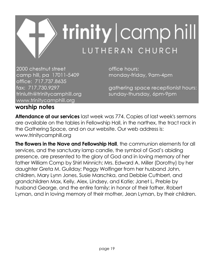

2000 chestnut street camp hill, pa 17011-5409 office: 717.737.8635 fax: 717.730.9297 trinluth@trinitycamphill.org www.trinitycamphill.org

office hours: monday-friday, 9am-4pm

gathering space receptionist hours: sunday-thursday, 6pm-9pm

# **worship notes**

**Attendance at our services** last week was 774. Copies of last week's sermons are available on the tables in Fellowship Hall, in the narthex, the tract rack in the Gathering Space, and on our website. Our web address is: [www.trinitycamphill.org](http://www.trinitycamphill.org/)

**The flowers in the Nave and Fellowship Hall**, the communion elements for all services, and the sanctuary lamp candle, the symbol of God's abiding presence, are presented to the glory of God and in loving memory of her father William Comp by Shirl Minnich; Mrs. Edward A. Miller (Dorothy) by her daughter Greta M. Guilday; Peggy Wolfinger from her husband John, children, Mary Lynn Jones, Susie Marschka, and Debbie Cuthbert, and grandchildren Max, Kelly, Alex, Lindsey, and Katie; Janet L. Preble by husband George, and the entire family; in honor of their father, Robert Lyman, and in loving memory of their mother, Jean Lyman, by their children.